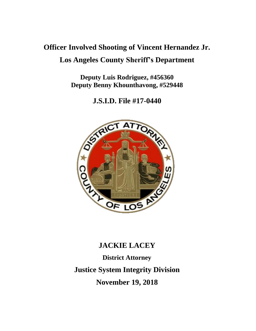# **Officer Involved Shooting of Vincent Hernandez Jr. Los Angeles County Sheriff's Department**

**Deputy Luis Rodriguez, #456360 Deputy Benny Khounthavong, #529448**

**J.S.I.D. File #17-0440**



# **JACKIE LACEY District Attorney Justice System Integrity Division November 19, 2018**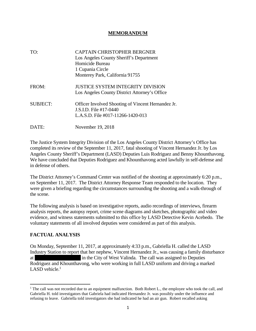#### **MEMORANDUM**

| TO:             | <b>CAPTAIN CHRISTOPHER BERGNER</b><br>Los Angeles County Sheriff's Department<br>Homicide Bureau<br>1 Cupania Circle<br>Monterey Park, California 91755 |
|-----------------|---------------------------------------------------------------------------------------------------------------------------------------------------------|
| FROM:           | <b>JUSTICE SYSTEM INTEGRITY DIVISION</b><br>Los Angeles County District Attorney's Office                                                               |
| <b>SUBJECT:</b> | Officer Involved Shooting of Vincent Hernandez Jr.<br>J.S.I.D. File #17-0440<br>L.A.S.D. File #017-11266-1420-013                                       |
| DATE:           | November 19, 2018                                                                                                                                       |

The Justice System Integrity Division of the Los Angeles County District Attorney's Office has completed its review of the September 11, 2017, fatal shooting of Vincent Hernandez Jr. by Los Angeles County Sheriff's Department (LASD) Deputies Luis Rodriguez and Benny Khounthavong. We have concluded that Deputies Rodriguez and Khounthavong acted lawfully in self-defense and in defense of others.

The District Attorney's Command Center was notified of the shooting at approximately 6:20 p.m., on September 11, 2017. The District Attorney Response Team responded to the location. They were given a briefing regarding the circumstances surrounding the shooting and a walk-through of the scene.

The following analysis is based on investigative reports, audio recordings of interviews, firearm analysis reports, the autopsy report, crime scene diagrams and sketches, photographic and video evidence, and witness statements submitted to this office by LASD Detective Kevin Acebedo. The voluntary statements of all involved deputies were considered as part of this analysis.

### **FACTUAL ANALYSIS**

On Monday, September 11, 2017, at approximately 4:33 p.m., Gabriella H. called the LASD Industry Station to report that her nephew, Vincent Hernandez Jr., was causing a family disturbance at in the City of West Valinda. The call was assigned to Deputies Rodriguez and Khounthavong, who were working in full LASD uniform and driving a marked LASD vehicle. $<sup>1</sup>$ </sup>

<sup>&</sup>lt;sup>1</sup> The call was not recorded due to an equipment malfunction. Both Robert L., the employee who took the call, and Gabriella H. told investigators that Gabriela had indicated Hernandez Jr. was possibly under the influence and refusing to leave. Gabriella told investigators she had indicated he had an air gun. Robert recalled asking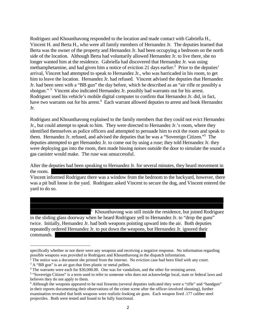Rodriguez and Khounthavong responded to the location and made contact with Gabriella H., Vincent H. and Berta H., who were all family members of Hernandez Jr. The deputies learned that Berta was the owner of the property and Hernandez Jr. had been occupying a bedroom on the north side of the location. Although Berta had voluntarily allowed Hernandez Jr. to live there, she no longer wanted him at the residence. Gabriella had discovered that Hernandez Jr. was using methamphetamine, and had given him a notice of eviction 21 days earlier.<sup>2</sup> Prior to the deputies' arrival, Vincent had attempted to speak to Hernandez Jr., who was barricaded in his room, to get him to leave the location. Hernandez Jr. had refused. Vincent advised the deputies that Hernandez Jr. had been seen with a "BB gun" the day before, which he described as an "air rifle or possibly a shotgun."<sup>3</sup> Vincent also indicated Hernandez Jr. possibly had warrants out for his arrest. Rodriguez used his vehicle's mobile digital computer to confirm that Hernandez Jr. did, in fact, have two warrants out for his arrest.<sup>4</sup> Each warrant allowed deputies to arrest and book Hernandez Jr.

Rodriguez and Khounthavong explained to the family members that they could not evict Hernandez Jr., but could attempt to speak to him. They were directed to Hernandez Jr.'s room, where they identified themselves as police officers and attempted to persuade him to exit the room and speak to them. Hernandez Jr. refused, and advised the deputies that he was a "Sovereign Citizen."<sup>5</sup> The deputies attempted to get Hernandez Jr. to come out by using a ruse; they told Hernandez Jr. they were deploying gas into the room, then made hissing noises outside the door to simulate the sound a gas canister would make. The ruse was unsuccessful.

After the deputies had been speaking to Hernandez Jr. for several minutes, they heard movement in the room.

Vincent informed Rodriguez there was a window from the bedroom to the backyard, however, there was a pit bull loose in the yard. Rodriguez asked Vincent to secure the dog, and Vincent entered the yard to do so.

 $6\,$  Khounthavong was still inside the residence, but joined Rodriguez in the sliding glass doorway when he heard Rodriguez yell to Hernandez Jr. to "drop the guns" twice. Initially, Hernandez Jr. had both weapons pointing upward into the air. Both deputies repeatedly ordered Hernandez Jr. to put down the weapons, but Hernandez Jr. ignored their commands.

specifically whether or not there were any weapons and receiving a negative response. No information regarding possible weapons was provided to Rodriguez and Khounthavong in the dispatch information.

 $2^2$  The notice was a document she printed from the internet. No eviction case had been filed with any court.  $3 A$  "BB gun" is an air gun that fires plastic or metal pellets.

<sup>4</sup> The warrants were each for \$30,000.00. One was for vandalism, and the other for resisting arrest.

<sup>&</sup>lt;sup>5</sup> "Sovereign Citizen" is a term used to refer to someone who does not acknowledge local, state or federal laws and believes they do not apply to them.

<sup>&</sup>lt;sup>6</sup> Although the weapons appeared to be real firearms (several deputies indicated they were a "rifle" and "handgun" in their reports documenting their observations of the crime scene after the officer-involved shooting), further examination revealed that both weapons were realistic-looking air guns. Each weapon fired .177 caliber steel projectiles. Both were tested and found to be fully functional.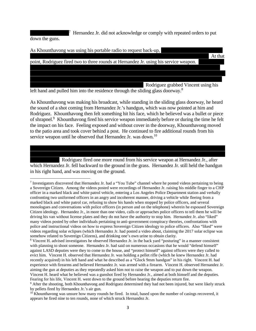<sup>7</sup> Hernandez Jr. did not acknowledge or comply with repeated orders to put down the guns.



left hand and pulled him into the residence through the sliding glass doorway.<sup>8</sup>

As Khounthavong was making his broadcast, while standing in the sliding glass doorway, he heard the sound of a shot coming from Hernandez Jr.'s handgun, which was now pointed at him and Rodriguez. Khounthavong then felt something hit his face, which he believed was a bullet or piece of shrapnel.<sup>9</sup> Khounthavong fired his service weapon immediately before or during the time he felt the impact on his face. Feeling exposed and without cover in the doorway, Khounthavong moved to the patio area and took cover behind a post. He continued to fire additional rounds from his service weapon until he observed that Hernandez Jr. was down.<sup>10</sup>

Rodriguez fired one more round from his service weapon at Hernandez Jr., after which Hernandez Jr. fell backward to the ground in the grass. Hernandez Jr. still held the handgun in his right hand, and was moving on the ground.

<sup>&</sup>lt;sup>7</sup> Investigators discovered that Hernandez Jr. had a "You Tube" channel where he posted videos pertaining to being a Sovereign Citizen. Among the videos posted were recordings of Hernandez Jr. raising his middle finger to a CHP officer in a marked black and white patrol vehicle, entering a Los Angeles Police Department station and verbally confronting two uniformed officers in an angry and incoherent manner, driving a vehicle while fleeing from a marked black and white patrol car, refusing to show his hands when stopped by police officers, and several monologues and conversations with police officers (in person and on the telephone) wherein he espoused Sovereign Citizen ideology. Hernandez Jr., in more than one video, calls or approaches police officers to tell them he will be driving his van without license plates and they do not have the authority to stop him. Hernandez Jr. also "liked" many videos posted by other individuals pertaining to anti-government conspiracy theories, confrontations with police and instructional videos on how to express Sovereign Citizen ideology to police officers. Also "liked" were videos regarding solar eclipses (which Hernandez Jr. had posted a video about, claiming the 2017 solar eclipse was somehow related to Sovereign Citizens), and drinking one's own urine to obtain clarity.

<sup>8</sup> Vincent H. advised investigators he observed Hernandez Jr. in the back yard "posturing" in a manner consistent with planning to shoot someone. Hernandez Jr. had said on numerous occasions that he would "defend himself" against LASD deputies were they to come to the house, and "protect himself" against officers were they called to evict him. Vincent H. observed that Hernandez Jr. was holding a pellet rifle (which he knew Hernandez Jr. had recently acquired) in his left hand and what he described as a "Glock 9mm handgun" in his right. Vincent H. had experience with firearms and believed Hernandez Jr. was armed with a firearm. Vincent H. observed Hernandez Jr. aiming the gun at deputies as they repeatedly asked him not to raise the weapon and to put down the weapon. Vincent H. heard what he believed was a gunshot fired by Hernandez Jr., aimed at both himself and the deputies. Fearing for his life, Vincent H. went down to the ground before hearing the deputies return fire.

<sup>9</sup> After the shooting, both Khounthavong and Rodriguez determined they had not been injured, but were likely struck by pellets fired by Hernandez Jr.'s air gun.

<sup>&</sup>lt;sup>10</sup> Khounthavong was unsure how many rounds he fired. In total, based upon the number of casings recovered, it appears he fired nine to ten rounds, none of which struck Hernandez Jr.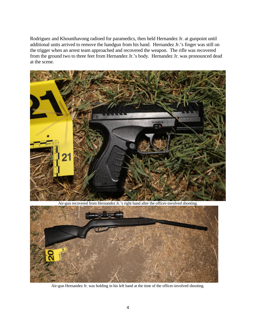Rodriguez and Khounthavong radioed for paramedics, then held Hernandez Jr. at gunpoint until additional units arrived to remove the handgun from his hand. Hernandez Jr.'s finger was still on the trigger when an arrest team approached and recovered the weapon. The rifle was recovered from the ground two to three feet from Hernandez Jr.'s body. Hernandez Jr. was pronounced dead at the scene.



Air-gun recovered from Hernandez Jr.'s right hand after the officer-involved shooting.



Air-gun Hernandez Jr. was holding in his left hand at the time of the officer-involved shooting.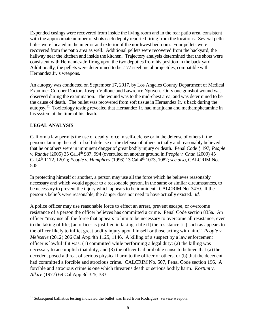Expended casings were recovered from inside the living room and in the rear patio area, consistent with the approximate number of shots each deputy reported firing from the locations. Several pellet holes were located in the interior and exterior of the northwest bedroom. Four pellets were recovered from the patio area as well. Additional pellets were recovered from the backyard, the hallway near the kitchen and inside the kitchen. Trajectory analysis determined that the shots were consistent with Hernandez Jr. firing upon the two deputies from his position in the back yard. Additionally, the pellets were determined to be .177 steel metal projectiles, compatible with Hernandez Jr.'s weapons.

An autopsy was conducted on September 17, 2017, by Los Angeles County Department of Medical Examiner-Coroner Doctors Joseph Vallone and Lawrence Nguyen. Only one gunshot wound was observed during the examination. The wound was to the mid-chest area, and was determined to be the cause of death. The bullet was recovered from soft tissue in Hernandez Jr.'s back during the autopsy.<sup>11</sup> Toxicology testing revealed that Hernandez Jr. had marijuana and methamphetamine in his system at the time of his death.

## **LEGAL ANALYSIS**

California law permits the use of deadly force in self-defense or in the defense of others if the person claiming the right of self-defense or the defense of others actually and reasonably believed that he or others were in imminent danger of great bodily injury or death. Penal Code § 197; *People v. Randle* (2005) 35 Cal.4th 987, 994 (overruled on another ground in *People v. Chun* (2009) 45 Cal.4th 1172, 1201); *People v. Humphrey* (1996) 13 Cal.4th 1073, 1082; *see also,* CALCRIM No. 505.

In protecting himself or another, a person may use all the force which he believes reasonably necessary and which would appear to a reasonable person, in the same or similar circumstances, to be necessary to prevent the injury which appears to be imminent. CALCRIM No. 3470. If the person's beliefs were reasonable, the danger does not need to have actually existed. *Id.*

A police officer may use reasonable force to effect an arrest, prevent escape, or overcome resistance of a person the officer believes has committed a crime. Penal Code section 835a. An officer "may use all the force that appears to him to be necessary to overcome all resistance, even to the taking of life; [an officer is justified in taking a life if] the resistance [is] such as appears to the officer likely to inflict great bodily injury upon himself or those acting with him." *People v. Mehserle* (2012) 206 Cal.App.4th 1125, 1146. A killing of a suspect by a law enforcement officer is lawful if it was: (1) committed while performing a legal duty; (2) the killing was necessary to accomplish that duty; and (3) the officer had probable cause to believe that (a) the decedent posed a threat of serious physical harm to the officer or others, or (b) that the decedent had committed a forcible and atrocious crime. CALCRIM No. 507, Penal Code section 196. A forcible and atrocious crime is one which threatens death or serious bodily harm. *Kortum v. Alkire* (1977) 69 Cal.App.3d 325, 333.

<sup>&</sup>lt;sup>11</sup> Subsequent ballistics testing indicated the bullet was fired from Rodriguez' service weapon.